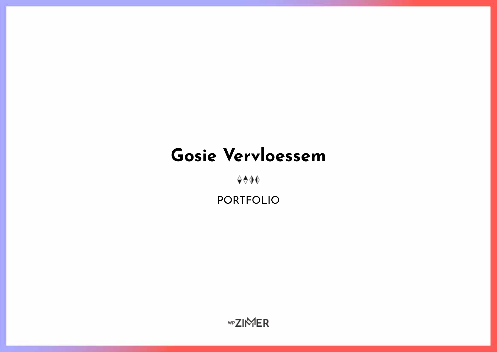# **Gosie Vervloessem**

 $400$ 

portfolio

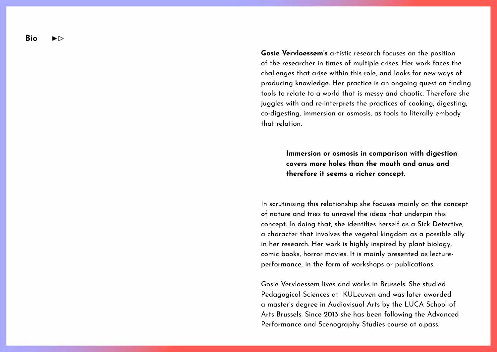**Bio**  ▶▷

> **Gosie Vervloessem's** artistic research focuses on the position of the researcher in times of multiple crises. Her work faces the challenges that arise within this role, and looks for new ways of producing knowledge. Her practice is an ongoing quest on finding tools to relate to a world that is messy and chaotic. Therefore she juggles with and re-interprets the practices of cooking, digesting, co-digesting, immersion or osmosis, as tools to literally embody that relation.

> > **Immersion or osmosis in comparison with digestion covers more holes than the mouth and anus and therefore it seems a richer concept.**

In scrutinising this relationship she focuses mainly on the concept of nature and tries to unravel the ideas that underpin this concept. In doing that, she identifies herself as a Sick Detective, a character that involves the vegetal kingdom as a possible ally in her research. Her work is highly inspired by plant biology, comic books, horror movies. It is mainly presented as lectureperformance, in the form of workshops or publications.

Gosie Vervloessem lives and works in Brussels. She studied Pedagogical Sciences at KULeuven and was later awarded a master's degree in Audiovisual Arts by the LUCA School of Arts Brussels. Since 2013 she has been following the Advanced Performance and Scenography Studies course at a.pass.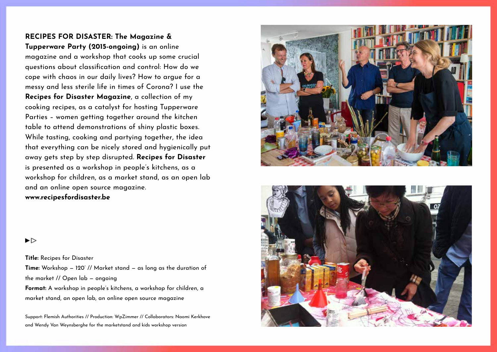## **Recipes for Disaster: The Magazine & Tupperware Party (2015-ongoing)** is an online

magazine and a workshop that cooks up some crucial questions about classification and control: How do we cope with chaos in our daily lives? How to argue for a messy and less sterile life in times of Corona? I use the **Recipes for Disaster Magazine**, a collection of my cooking recipes, as a catalyst for hosting Tupperware Parties – women getting together around the kitchen table to attend demonstrations of shiny plastic boxes. While tasting, cooking and partying together, the idea that everything can be nicely stored and hygienically put away gets step by step disrupted. **Recipes for Disaster** is presented as a workshop in people's kitchens, as a workshop for children, as a market stand, as an open lab and an online open source magazine. **www.recipesfordisaster.be**





#### ▶▷

**Title:** Recipes for Disaster **Time:** Workshop — 120' // Market stand — as long as the duration of the market // Open lab — ongoing **Format:** A workshop in people's kitchens, a workshop for children, a market stand, an open lab, an online open source magazine

Support: Flemish Authorities // Production: WpZimmer // Collaborators: Naomi Kerkhove and Wendy Van Weynsberghe for the marketstand and kids workshop version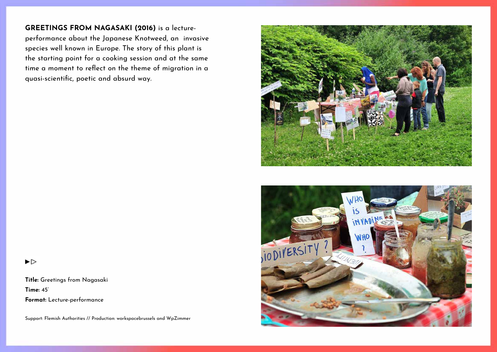**Greetings from Nagasaki (2016)** is a lectureperformance about the Japanese Knotweed, an invasive species well known in Europe. The story of this plant is the starting point for a cooking session and at the same time a moment to reflect on the theme of migration in a quasi-scientific, poetic and absurd way.



**Title:** Greetings from Nagasaki **Time:** 45' **Format:** Lecture-performance

Support: Flemish Authorities // Production: workspacebrussels and WpZimmer



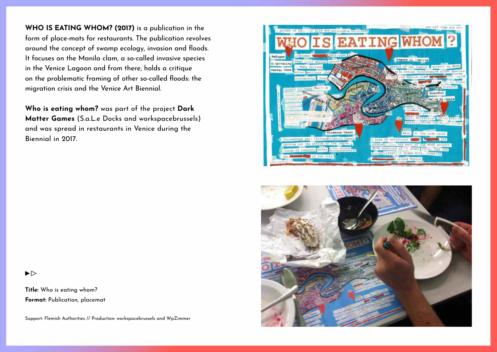**Who is eating whom? (2017)** is a publication in the form of place-mats for restaurants. The publication revolves around the concept of swamp ecology, invasion and floods. It focuses on the Manila clam, a so-called invasive species in the Venice Lagoon and from there, holds a critique on the problematic framing of other so-called floods: the migration crisis and the Venice Art Biennial.

**Who is eating whom?** was part of the project **Dark Matter Games** (S.a.L.e Docks and workspacebrussels) and was spread in restaurants in Venice during the Biennial in 2017.





▶▷

**Title:** Who is eating whom?

**Format:** Publication, placemat

Support: Flemish Authorities // Production: workspacebrussels and WpZimmer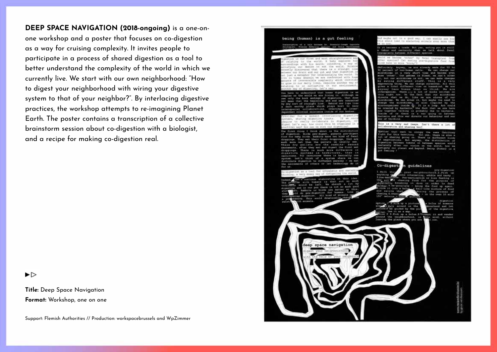**Deep Space Navigation (2018-ongoing)** is a one-onone workshop and a poster that focuses on co-digestion as a way for cruising complexity. It invites people to participate in a process of shared digestion as a tool to better understand the complexity of the world in which we currently live. We start with our own neighborhood: "How to digest your neighborhood with wiring your digestive system to that of your neighbor?". By interlacing digestive practices, the workshop attempts to re-imagining Planet Earth. The poster contains a transcription of a collective brainstorm session about co-digestion with a biologist, and a recipe for making co-digestion real.

▶⊳

**Title:** Deep Space Navigation **Format:** Workshop, one on one

Support: Flemish Authorities // Production: workspacebrussels and WpZimmer

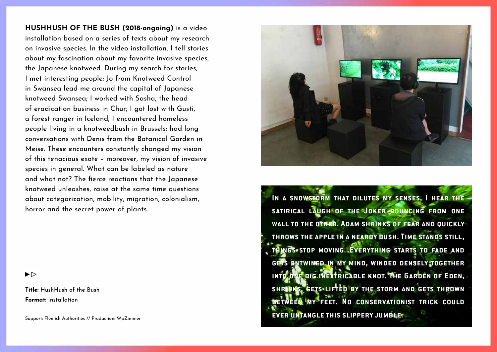**HushHush of the Bush (2018-ongoing)** is a video installation based on a series of texts about my research on invasive species. In the video installation, I tell stories about my fascination about my favorite invasive species, the Japanese knotweed. During my search for stories, I met interesting people: Jo from Knotweed Control in Swansea lead me around the capital of Japanese knotweed Swansea; I worked with Sasha, the head of eradication business in Chur; I got lost with Gusti, a forest ranger in Iceland; I encountered homeless people living in a knotweedbush in Brussels; had long conversations with Denis from the Botanical Garden in Meise. These encounters constantly changed my vision of this tenacious exote – moreover, my vision of invasive species in general. What can be labeled as nature and what not? The fierce reactions that the Japanese knotweed unleashes, raise at the same time questions about categorization, mobility, migration, colonialism, horror and the secret power of plants.

 $\blacktriangleright$ 

**Title:** HushHush of the Bush **Format:** Installation

Support: Flemish Authorities // Production: WpZimmer



**In a snowstorm that dilutes my senses, I hear the satirical laugh of the Joker bouncing from one wall to the other. Adam shrinks of fear and quickly throws the apple in a nearby bush. Time stands still, things stop moving. Everything starts to fade and gets entwined in my mind, winded densely together into one big inextricable knot. The Garden of Eden, shrinks, gets lifted by the storm and gets thrown BETWEEN MY FEET. NO CONSERVATIONIST TRICK COULD ever untangle this slippery jumble.**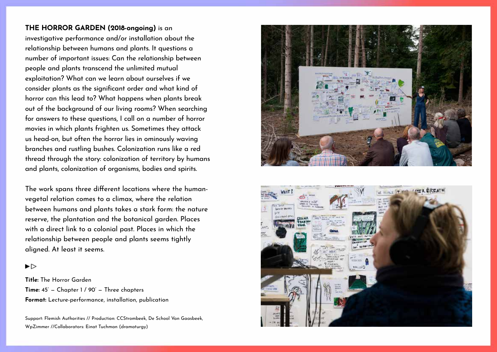**The Horror Garden (2018-ongoing)** is an investigative performance and/or installation about the relationship between humans and plants. It questions a number of important issues: Can the relationship between people and plants transcend the unlimited mutual exploitation? What can we learn about ourselves if we consider plants as the significant order and what kind of horror can this lead to? What happens when plants break out of the background of our living rooms? When searching for answers to these questions, I call on a number of horror movies in which plants frighten us. Sometimes they attack us head-on, but often the horror lies in ominously waving branches and rustling bushes. Colonization runs like a red thread through the story: colonization of territory by humans and plants, colonization of organisms, bodies and spirits.

The work spans three different locations where the humanvegetal relation comes to a climax, where the relation between humans and plants takes a stark form: the nature reserve, the plantation and the botanical garden. Places with a direct link to a colonial past. Places in which the relationship between people and plants seems tightly aligned. At least it seems.

#### $\blacktriangleright$

**Title:** The Horror Garden **Time:** 45' — Chapter 1 / 90' — Three chapters **Format:** Lecture-performance, installation, publication

Support: Flemish Authorities // Production: CCStrombeek, De School Van Gaasbeek, WpZimmer //Collaborators: Einat Tuchman (dramaturgy)



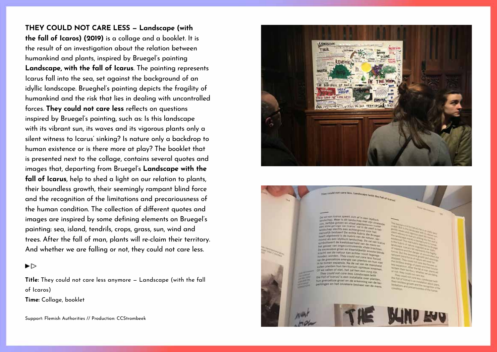**They could not care less — Landscape (with the fall of Icaros) (2019)** is a collage and a booklet. It is the result of an investigation about the relation between humankind and plants, inspired by Bruegel's painting **Landscape, with the fall of Icarus**. The painting represents Icarus fall into the sea, set against the background of an idyllic landscape. Brueghel's painting depicts the fragility of humankind and the risk that lies in dealing with uncontrolled forces. **They could not care less** reflects on questions inspired by Bruegel's painting, such as: Is this landscape with its vibrant sun, its waves and its vigorous plants only a silent witness to Icarus' sinking? Is nature only a backdrop to human existence or is there more at play? The booklet that is presented next to the collage, contains several quotes and images that, departing from Bruegel's **Landscape with the fall of Icarus**, help to shed a light on our relation to plants, their boundless growth, their seemingly rampant blind force and the recognition of the limitations and precariousness of the human condition. The collection of different quotes and images are inspired by some defining elements on Bruegel's painting: sea, island, tendrils, crops, grass, sun, wind and trees. After the fall of man, plants will re-claim their territory. And whether we are falling or not, they could not care less.

▶▷

**Title:** They could not care less anymore — Landscape (with the fall of Icaros)

**Time:** Collage, booklet

Support: Flemish Authorities // Production: CCStrombeek



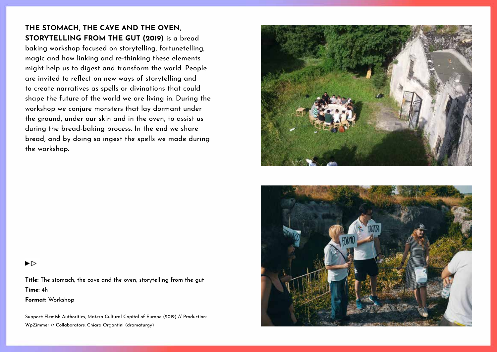# **The stomach, the cave and the oven, storytelling from the gut (2019)** is a bread

baking workshop focused on storytelling, fortunetelling, magic and how linking and re-thinking these elements might help us to digest and transform the world. People are invited to reflect on new ways of storytelling and to create narratives as spells or divinations that could shape the future of the world we are living in. During the workshop we conjure monsters that lay dormant under the ground, under our skin and in the oven, to assist us during the bread-baking process. In the end we share bread, and by doing so ingest the spells we made during the workshop.





#### ▶▷

**Title:** The stomach, the cave and the oven, storytelling from the gut **Time:** 4h

**Format:** Workshop

Support: Flemish Authorities, Matera Cultural Capital of Europe (2019) // Production: WpZimmer // Collaborators: Chiara Organtini (dramaturgy)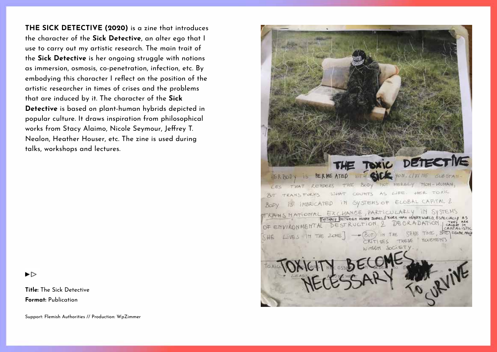**THE SICK DETECTIVE (2020)** is a zine that introduces the character of the **Sick Detective**, an alter ego that I use to carry out my artistic research. The main trait of the **Sick Detective** is her ongoing struggle with notions as immersion, osmosis, co-penetration, infection, etc. By embodying this character I reflect on the position of the artistic researcher in times of crises and the problems that are induced by it. The character of the **Sick Detective** is based on plant-human hybrids depicted in popular culture. It draws inspiration from philosophical works from Stacy Alaimo, Nicole Seymour, Jeffrey T. Nealon, Heather Houser, etc. The zine is used during talks, workshops and lectures.



**Title:** The Sick Detective **Format:** Publication



Support: Flemish Authorities // Production: WpZimmer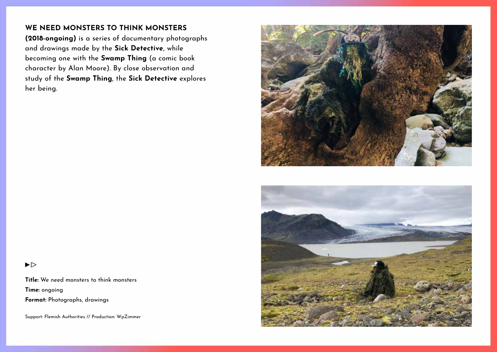# **We need monsters to think monsters**

**(2018-ongoing)** is a series of documentary photographs and drawings made by the **Sick Detective**, while becoming one with the **Swamp Thing** (a comic book character by Alan Moore). By close observation and study of the **Swamp Thing**, the **Sick Detective** explores her being.





#### $\blacktriangleright$

**Title:** We need monsters to think monsters **Time:** ongoing **Format:** Photographs, drawings

Support: Flemish Authorities // Production: WpZimmer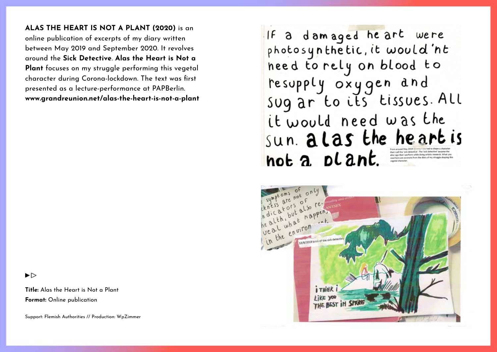**Alas the Heart is Not a Plant (2020)** is an online publication of excerpts of my diary written between May 2019 and September 2020. It revolves around the **Sick Detective**. **Alas the Heart is Not a Plant** focuses on my struggle performing this vegetal character during Corona-lockdown. The text was first presented as a lecture-performance at PAPBerlin. **www.grandreunion.net/alas-the-heart-is-not-a-plant**

 $\blacktriangleright$ 

**Title:** Alas the Heart is Not a Plant **Format:** Online publication

Support: Flemish Authorities // Production: WpZimmer

If a damaged he art were<br>photosynthetic, it would 'nt need to rely on blood to resupply oxygen and<br>sug ar to its tissues. All it would need was the sun. alas the heart is  $not a$  plant alter ego that I perform while doing artistic research. What ener ego mes i perrots from the diary of my struggle shaping

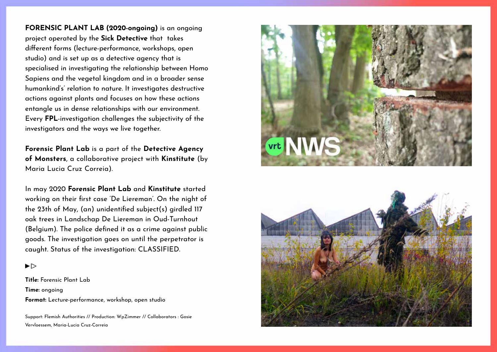**Forensic Plant Lab (2020-ongoing)** is an ongoing project operated by the **Sick Detective** that takes different forms (lecture-performance, workshops, open studio) and is set up as a detective agency that is specialised in investigating the relationship between Homo Sapiens and the vegetal kingdom and in a broader sense humankind's' relation to nature. It investigates destructive actions against plants and focuses on how these actions entangle us in dense relationships with our environment. Every **FPL**-investigation challenges the subjectivity of the investigators and the ways we live together.

**Forensic Plant Lab** is a part of the **Detective Agency of Monsters**, a collaborative project with **Kinstitute** (by Maria Lucia Cruz Correia).

In may 2020 **Forensic Plant Lab** and **Kinstitute** started working on their first case 'De Liereman'. On the night of the 23th of May, (an) unidentified subject(s) girdled 117 oak trees in Landschap De Liereman in Oud-Turnhout (Belgium). The police defined it as a crime against public goods. The investigation goes on until the perpetrator is caught. Status of the investigation: CLASSIFIED.

#### ▶▷

**Title:** Forensic Plant Lab **Time:** ongoing **Format:** Lecture-performance, workshop, open studio

Support: Flemish Authorities // Production: WpZimmer // Collaborators : Gosie Vervloessem, Maria-Lucia Cruz-Correia



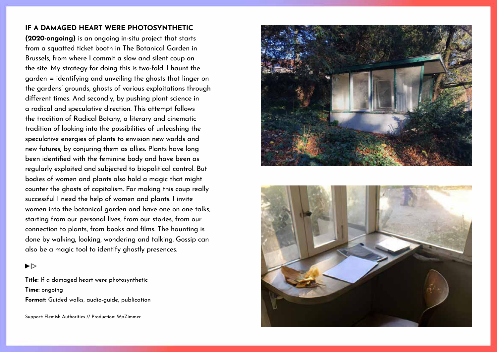### **If a damaged heart were photosynthetic**

**(2020-ongoing)** is an ongoing in-situ project that starts from a squatted ticket booth in The Botanical Garden in Brussels, from where I commit a slow and silent coup on the site. My strategy for doing this is two-fold. I haunt the garden = identifying and unveiling the ghosts that linger on the gardens' grounds, ghosts of various exploitations through different times. And secondly, by pushing plant science in a radical and speculative direction. This attempt follows the tradition of Radical Botany, a literary and cinematic tradition of looking into the possibilities of unleashing the speculative energies of plants to envision new worlds and new futures, by conjuring them as allies. Plants have long been identified with the feminine body and have been as regularly exploited and subjected to biopolitical control. But bodies of women and plants also hold a magic that might counter the ghosts of capitalism. For making this coup really successful I need the help of women and plants. I invite women into the botanical garden and have one on one talks, starting from our personal lives, from our stories, from our connection to plants, from books and films. The haunting is done by walking, looking, wondering and talking. Gossip can also be a magic tool to identify ghostly presences.



**Title:** If a damaged heart were photosynthetic **Time:** ongoing **Format:** Guided walks, audio-guide, publication

Support: Flemish Authorities // Production: WpZimmer



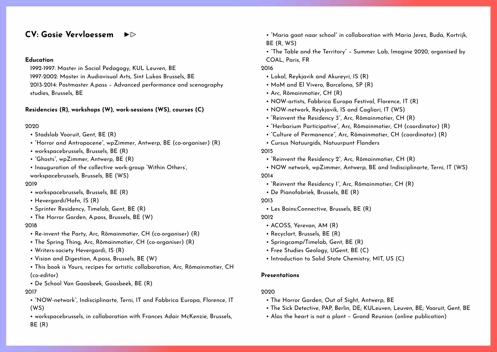#### **CV: Gosie Vervloessem**   $\blacktriangleright$

#### **Education**

1992-1997: Master in Social Pedagogy, KUL Leuven, BE

1997-2002: Master in Audiovisual Arts, Sint Lukas Brussels, BE

2013-2014: Postmaster A.pass – Advanced performance and scenography studies, Brussels, BE

#### **Residencies (R), workshops (W), work-sessions (WS), courses (C)**

#### 2020

- Stadslab Vooruit, Gent, BE (R)
- "Horror and Antropocene", wpZimmer, Antwerp, BE (co-organiser) (R)
- workspacebrussels, Brussels, BE (R)
- "Ghosts", wpZimmer, Antwerp, BE (R)
- Inquauration of the collective work-group 'Within Others',

workspacebrussels, Brussels, BE (WS)

#### 2019

- workspacebrussels, Brussels, BE (R)
- Hevergardi/Hofn, IS (R)
- Sprinter Residency, Timelab, Gent, BE (R)
- The Horror Garden, A.pass, Brussels, BE (W)

#### 2018

- Re-invent the Party, Arc, Rômainmotier, CH (co-organiser) (R)
- The Spring Thing, Arc, Rômainmotier, CH (co-organiser) (R)
- Writers-society Hevergardi, IS (R)
- Vision and Digestion, A.pass, Brussels, BE (W)
- This book is Yours, recipes for artistic collaboration, Arc, Rômainmotier, CH (co-editor)
- De School Van Gaasbeek, Gaasbeek, BE (R)

#### 2017

- "NOW-network", Indisciplinarte, Terni, IT and Fabbrica Europa, Florence, IT (WS)
- workspacebrussels, in collaboration with Frances Adair McKenzie, Brussels, BE (R)
- "Maria gaat naar school" in collaboration with Maria Jerez, Buda, Kortrijk, BE (R, WS)
- "The Table and the Territory" Summer Lab, Imagine 2020, organised by COAL, Paris, FR

#### 2016

- Lokal, Reykjavik and Akureyri, IS (R)
- MoM and El Vivero, Barcelona, SP (R)
- Arc, Rômainmotier, CH (R)
- NOW-artists, Fabbrica Europa Festival, Florence, IT (R)
- NOW-network, Reykjavik, IS and Cagliari, IT (WS)
- "Reinvent the Residency 3", Arc, Rômainmotier, CH (R)
- "Herbarium Participative", Arc, Rômainmotier, CH (coordinator) (R)
- "Culture of Permanence", Arc, Rômainmotier, CH (coordinator) (R)
- Cursus Natuurgids, Natuurpunt Flanders

#### 2015

- "Reinvent the Residency 2", Arc, Rômainmotier, CH (R)
- NOW network, wpZimmer, Antwerp, BE and Indisciplinarte, Terni, IT (WS) 2014
	- "Reinvent the Residency 1", Arc, Rômainmotier, CH (R)
- De Pianofabriek, Brussels, BE (R)
- 2013
	- Les Bains:Connective, Brussels, BE (R)

2012

- ACOSS, Yerevan, AM (R)
- Recyclart, Brussels, BE (R)
- Springcamp/Timelab, Gent, BE (R)
- Free Studies Geology, UGent, BE (C)
- Introduction to Solid State Chemistry, MIT, US (C)

#### **Presentations**

#### 2020

- The Horror Garden, Out of Sight, Antwerp, BE
- The Sick Detective, PAP, Berlin, DE; KULeuven, Leuven, BE; Vooruit, Gent, BE
- Alas the heart is not a plant Grand Reunion (online publication)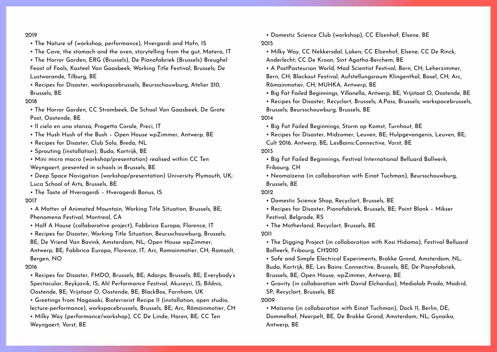#### 2019

- The Nature of (workshop, performance), Hvergardi and Hofn, IS
- The Cave, the stomach and the oven, storytelling from the gut, Matera, IT
- The Horror Garden, ERG (Brussels), De Pianofabriek (Brussels) Breughel Feast of Fools, Kasteel Van Gaasbeek; Working Title Festival, Brussels; De Lustwarande, Tilburg, BE
- Recipes for Disaster, workspacebrussels, Beursschouwburg, Atelier 210, Brussels, BE

#### 2018

• The Horror Garden, CC Strombeek, De School Van Gaasbeek, De Grote Post, Oostende, BE

- Il cielo en una stanza, Progetto Corale, Preci, IT
- The Hush Hush of the Bush Open House wpZimmer, Antwerp, BE
- Recipes for Disaster, Club Solo, Breda, NL
- Sprouting (installation), Buda, Kortrijk, BE
- Mini micro macro (workshop/presentation) realised within CC Ten Weyngaert, presented in schools in Brussels, BE
- Deep Space Navigation (workshop/presentation) University Plymouth, UK; Luca School of Arts, Brussels, BE
- The Taste of Hveragerdi Hveragerdi Bonus, IS 2017
- A Matter of Animated Mountain, Working Title Situation, Brussels, BE; Phenomena Festival, Montreal, CA
- Half A House (collaborative project), Fabbrica Europa, Florence, IT

• Recipes for Disaster, Working Title Situation, Beursschouwburg, Brussels, BE; De Vriend Van Bavink, Amsterdam, NL; Open House wpZimmer, Antwerp, BE; Fabbrica Europa, Florence, IT; Arc, Romainmotier, CH; Ramsalt, Bergen, NO

#### 2016

• Recipes for Disaster, FMDO, Brussels, BE; Adarps, Brussels, BE; Everybody's Spectacular, Reykjavik, IS; Ah! Performance Festival, Akureyri, IS; Bildnis, Oostende, BE; Vrijstaat O, Oostende, BE; BlackBox, Farnham, UK

• Greetings from Nagasaki, Bioterrorist Recipe II (installation, open studio, lecture-performance), workspacebrussels, Brussels, BE; Arc, Rômainmotier, CH

• Milky Way (performance/workshop), CC De Linde, Haren, BE; CC Ten Weyngaert, Vorst, BE

• Domestic Science Club (workshop), CC Elzenhof, Elsene, BE 2015

• Milky Way, CC Nekkersdal, Laken; CC Elzenhof, Elsene; CC De Rinck, Anderlecht; CC De Kroon, Sint Agatha-Berchem, BE

• A PostPasteurian World, Mad Scientist Festival, Bern, CH; Leherzimmer, Bern, CH; Blackout Festival, Aufstellungsraum Klingenthal, Basel, CH; Arc, Rômainmotier, CH; MUHKA, Antwerp, BE

• Big Fat Failed Beginnings, Villanella, Antwerp, BE; Vrijstaat O, Oostende, BE

• Recipes for Disaster, Recyclart, Brussels; A.Pass, Brussels; workspacebrussels, Brussels; Beursschouwburg, Brussels, BE

#### 2014

• Big Fat Failed Beginnings, Storm op Komst, Turnhout, BE

• Recipes for Disaster, Midzomer, Leuven, BE; Hulpgevangenis, Leuven, BE; Cult 2016, Antwerp, BE; LesBains::Connective, Vorst, BE

2013

• Big Fat Failed Beginnings, Festival International Belluard Bollwerk, Fribourg, CH

• Neomaïzena (in collaboration with Einat Tuchman), Beursschouwburg, Brussels, BE

#### 2012

• Domestic Science Shop, Recyclart, Brussels, BE

• Recipes for Disaster, Pianofabriek, Brussels, BE; Point Blank – Mikser Festival, Belgrade, RS

• The Motherland, Recyclart, Brussels, BE

2011

• The Digging Project (in collaboration with Kosi Hidama), Festival Belluard Bollwerk, Fribourg, CH2010

• Safe and Simple Electrical Experiments, Brakke Grond, Amsterdam, NL; Buda, Kortrijk, BE; Les Bains: Connective, Brussels, BE; De Pianofabriek, Brussels, BE; Open House, wpZimmer, Antwerp, BE

• Gravity (in collaboration with David Elchardus), Medialab Prado, Madrid, SP; Recyclart, Brussels, BE

2009

• Maïzena (in collaboration with Einat Tuchman), Dock 11, Berlin, DE; Dommelhof, Neerpelt, BE, De Brakke Grond, Amsterdam, NL; Gynaika, Antwerp, BE